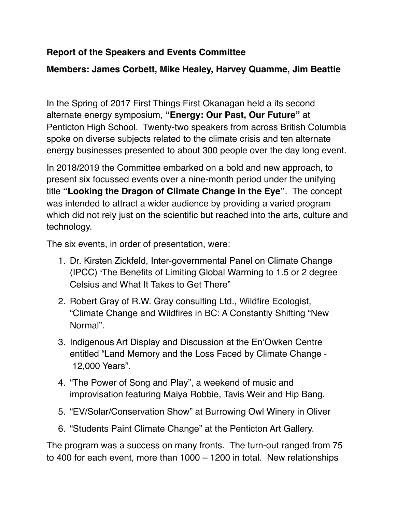## **Report of the Speakers and Events Committee**

## **Members: James Corbett, Mike Healey, Harvey Quamme, Jim Beattie**

In the Spring of 2017 First Things First Okanagan held a its second alternate energy symposium, **"Energy: Our Past, Our Future"** at Penticton High School. Twenty-two speakers from across British Columbia spoke on diverse subjects related to the climate crisis and ten alternate energy businesses presented to about 300 people over the day long event.

In 2018/2019 the Committee embarked on a bold and new approach, to present six focussed events over a nine-month period under the unifying title **"Looking the Dragon of Climate Change in the Eye"**. The concept was intended to attract a wider audience by providing a varied program which did not rely just on the scientific but reached into the arts, culture and technology.

The six events, in order of presentation, were:

- 1. Dr. Kirsten Zickfeld, Inter-governmental Panel on Climate Change (IPCC) "The Benefits of Limiting Global Warming to 1.5 or 2 degree Celsius and What It Takes to Get There"
- 2. Robert Gray of R.W. Gray consulting Ltd., Wildfire Ecologist, "Climate Change and Wildfires in BC: A Constantly Shifting "New Normal".
- 3. Indigenous Art Display and Discussion at the En'Owken Centre entitled "Land Memory and the Loss Faced by Climate Change - 12,000 Years".
- 4. "The Power of Song and Play", a weekend of music and improvisation featuring Maiya Robbie, Tavis Weir and Hip Bang.
- 5. "EV/Solar/Conservation Show" at Burrowing Owl Winery in Oliver
- 6. "Students Paint Climate Change" at the Penticton Art Gallery.

The program was a success on many fronts. The turn-out ranged from 75 to 400 for each event, more than 1000 – 1200 in total. New relationships